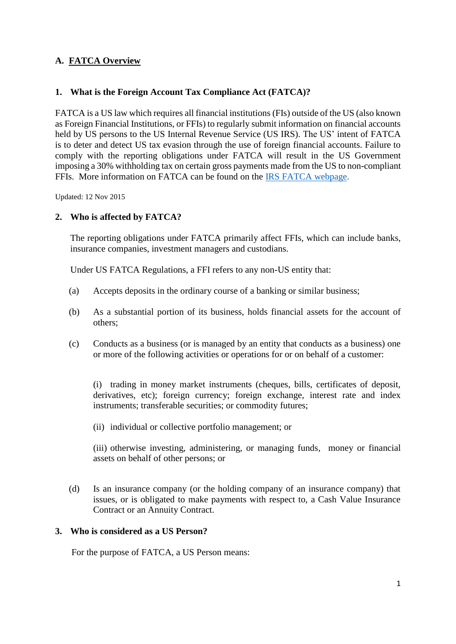# **A. FATCA Overview**

### **1. What is the Foreign Account Tax Compliance Act (FATCA)?**

FATCA is a US law which requires all financial institutions (FIs) outside of the US (also known as Foreign Financial Institutions, or FFIs) to regularly submit information on financial accounts held by US persons to the US Internal Revenue Service (US IRS). The US' intent of FATCA is to deter and detect US tax evasion through the use of foreign financial accounts. Failure to comply with the reporting obligations under FATCA will result in the US Government imposing a 30% withholding tax on certain gross payments made from the US to non-compliant FFIs. More information on FATCA can be found on the [IRS FATCA webpage.](http://www.irs.gov/Businesses/Corporations/Foreign-Account-Tax-Compliance-Act-FATCA)

Updated: 12 Nov 2015

### **2. Who is affected by FATCA?**

The reporting obligations under FATCA primarily affect FFIs, which can include banks, insurance companies, investment managers and custodians.

Under US FATCA Regulations, a FFI refers to any non-US entity that:

- (a) Accepts deposits in the ordinary course of a banking or similar business;
- (b) As a substantial portion of its business, holds financial assets for the account of others;
- (c) Conducts as a business (or is managed by an entity that conducts as a business) one or more of the following activities or operations for or on behalf of a customer:

(i) trading in money market instruments (cheques, bills, certificates of deposit, derivatives, etc); foreign currency; foreign exchange, interest rate and index instruments; transferable securities; or commodity futures;

(ii) individual or collective portfolio management; or

(iii) otherwise investing, administering, or managing funds, money or financial assets on behalf of other persons; or

(d) Is an insurance company (or the holding company of an insurance company) that issues, or is obligated to make payments with respect to, a Cash Value Insurance Contract or an Annuity Contract.

#### **3. Who is considered as a US Person?**

For the purpose of FATCA, a US Person means: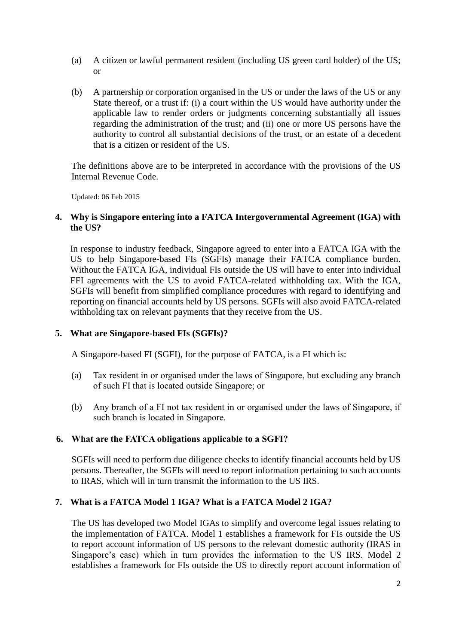- (a) A citizen or lawful permanent resident (including US green card holder) of the US; or
- (b) A partnership or corporation organised in the US or under the laws of the US or any State thereof, or a trust if: (i) a court within the US would have authority under the applicable law to render orders or judgments concerning substantially all issues regarding the administration of the trust; and (ii) one or more US persons have the authority to control all substantial decisions of the trust, or an estate of a decedent that is a citizen or resident of the US.

The definitions above are to be interpreted in accordance with the provisions of the US Internal Revenue Code.

Updated: 06 Feb 2015

### **4. Why is Singapore entering into a FATCA Intergovernmental Agreement (IGA) with the US?**

In response to industry feedback, Singapore agreed to enter into a FATCA IGA with the US to help Singapore-based FIs (SGFIs) manage their FATCA compliance burden. Without the FATCA IGA, individual FIs outside the US will have to enter into individual FFI agreements with the US to avoid FATCA-related withholding tax. With the IGA, SGFIs will benefit from simplified compliance procedures with regard to identifying and reporting on financial accounts held by US persons. SGFIs will also avoid FATCA-related withholding tax on relevant payments that they receive from the US.

## **5. What are Singapore-based FIs (SGFIs)?**

A Singapore-based FI (SGFI), for the purpose of FATCA, is a FI which is:

- (a) Tax resident in or organised under the laws of Singapore, but excluding any branch of such FI that is located outside Singapore; or
- (b) Any branch of a FI not tax resident in or organised under the laws of Singapore, if such branch is located in Singapore.

## **6. What are the FATCA obligations applicable to a SGFI?**

SGFIs will need to perform due diligence checks to identify financial accounts held by US persons. Thereafter, the SGFIs will need to report information pertaining to such accounts to IRAS, which will in turn transmit the information to the US IRS.

## **7. What is a FATCA Model 1 IGA? What is a FATCA Model 2 IGA?**

The US has developed two Model IGAs to simplify and overcome legal issues relating to the implementation of FATCA. Model 1 establishes a framework for FIs outside the US to report account information of US persons to the relevant domestic authority (IRAS in Singapore's case) which in turn provides the information to the US IRS. Model 2 establishes a framework for FIs outside the US to directly report account information of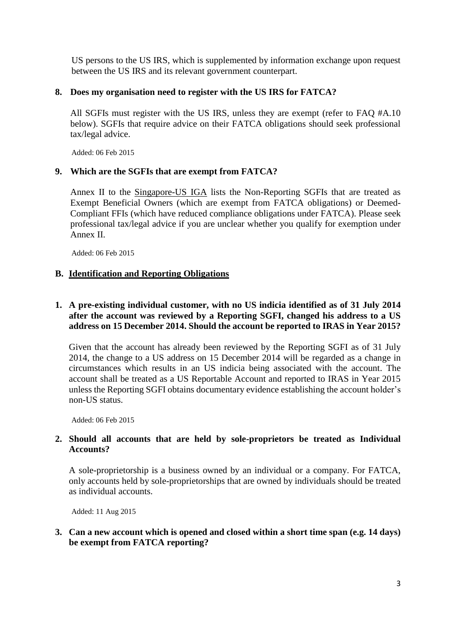US persons to the US IRS, which is supplemented by information exchange upon request between the US IRS and its relevant government counterpart.

#### **8. Does my organisation need to register with the US IRS for FATCA?**

All SGFIs must register with the US IRS, unless they are exempt (refer to FAQ #A.10 below). SGFIs that require advice on their FATCA obligations should seek professional tax/legal advice.

Added: 06 Feb 2015

### **9. Which are the SGFIs that are exempt from FATCA?**

Annex II to the [Singapore-US IGA](http://www.iras.gov.sg/irashome/uploadedFiles/Quick_Links/Tax_treaties/FATCA-Singapore_IGA.pdf) lists the Non-Reporting SGFIs that are treated as Exempt Beneficial Owners (which are exempt from FATCA obligations) or Deemed-Compliant FFIs (which have reduced compliance obligations under FATCA). Please seek professional tax/legal advice if you are unclear whether you qualify for exemption under Annex II.

Added: 06 Feb 2015

### **B. Identification and Reporting Obligations**

## **1. A pre-existing individual customer, with no US indicia identified as of 31 July 2014 after the account was reviewed by a Reporting SGFI, changed his address to a US address on 15 December 2014. Should the account be reported to IRAS in Year 2015?**

Given that the account has already been reviewed by the Reporting SGFI as of 31 July 2014, the change to a US address on 15 December 2014 will be regarded as a change in circumstances which results in an US indicia being associated with the account. The account shall be treated as a US Reportable Account and reported to IRAS in Year 2015 unless the Reporting SGFI obtains documentary evidence establishing the account holder's non-US status.

Added: 06 Feb 2015

## **2. Should all accounts that are held by sole-proprietors be treated as Individual Accounts?**

A sole-proprietorship is a business owned by an individual or a company. For FATCA, only accounts held by sole-proprietorships that are owned by individuals should be treated as individual accounts.

Added: 11 Aug 2015

## **3. Can a new account which is opened and closed within a short time span (e.g. 14 days) be exempt from FATCA reporting?**